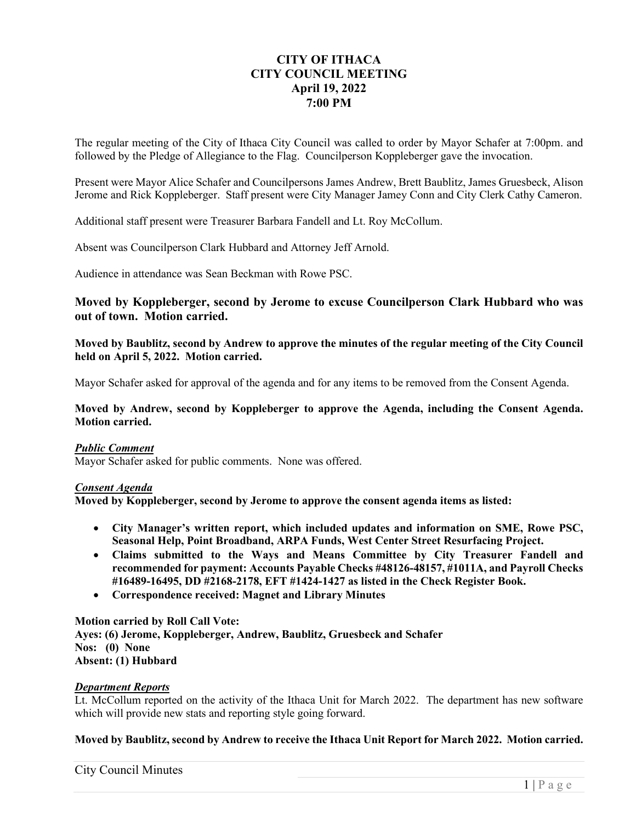# **CITY OF ITHACA CITY COUNCIL MEETING April 19, 2022 7:00 PM**

The regular meeting of the City of Ithaca City Council was called to order by Mayor Schafer at 7:00pm. and followed by the Pledge of Allegiance to the Flag. Councilperson Koppleberger gave the invocation.

Present were Mayor Alice Schafer and Councilpersons James Andrew, Brett Baublitz, James Gruesbeck, Alison Jerome and Rick Koppleberger. Staff present were City Manager Jamey Conn and City Clerk Cathy Cameron.

Additional staff present were Treasurer Barbara Fandell and Lt. Roy McCollum.

Absent was Councilperson Clark Hubbard and Attorney Jeff Arnold.

Audience in attendance was Sean Beckman with Rowe PSC.

## **Moved by Koppleberger, second by Jerome to excuse Councilperson Clark Hubbard who was out of town. Motion carried.**

**Moved by Baublitz, second by Andrew to approve the minutes of the regular meeting of the City Council held on April 5, 2022. Motion carried.** 

Mayor Schafer asked for approval of the agenda and for any items to be removed from the Consent Agenda.

**Moved by Andrew, second by Koppleberger to approve the Agenda, including the Consent Agenda. Motion carried.** 

#### *Public Comment*

Mayor Schafer asked for public comments. None was offered.

### *Consent Agenda*

**Moved by Koppleberger, second by Jerome to approve the consent agenda items as listed:** 

- **City Manager's written report, which included updates and information on SME, Rowe PSC, Seasonal Help, Point Broadband, ARPA Funds, West Center Street Resurfacing Project.**
- **Claims submitted to the Ways and Means Committee by City Treasurer Fandell and recommended for payment: Accounts Payable Checks #48126-48157, #1011A, and Payroll Checks #16489-16495, DD #2168-2178, EFT #1424-1427 as listed in the Check Register Book.**
- **Correspondence received: Magnet and Library Minutes**

### **Motion carried by Roll Call Vote:**

**Ayes: (6) Jerome, Koppleberger, Andrew, Baublitz, Gruesbeck and Schafer Nos: (0) None Absent: (1) Hubbard** 

#### *Department Reports*

Lt. McCollum reported on the activity of the Ithaca Unit for March 2022. The department has new software which will provide new stats and reporting style going forward.

### **Moved by Baublitz, second by Andrew to receive the Ithaca Unit Report for March 2022. Motion carried.**

City Council Minutes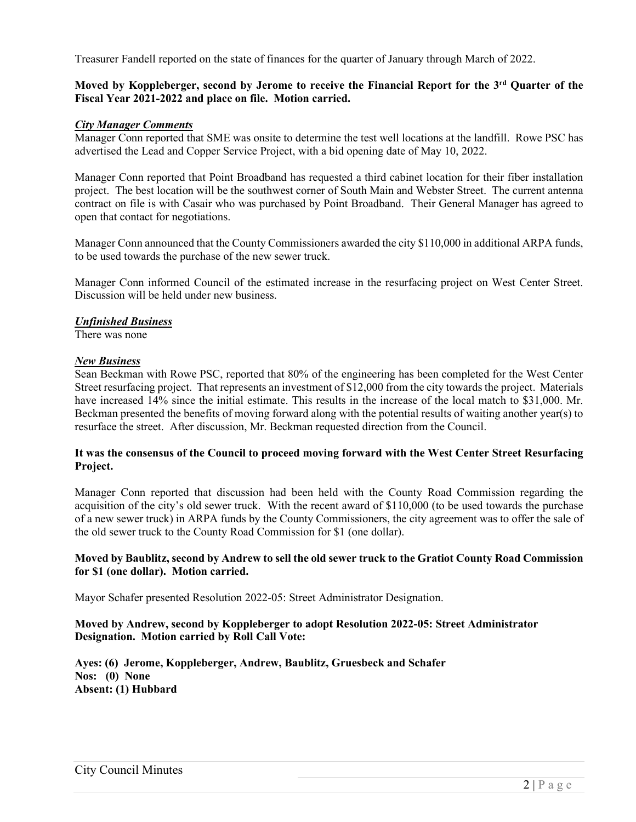Treasurer Fandell reported on the state of finances for the quarter of January through March of 2022.

## **Moved by Koppleberger, second by Jerome to receive the Financial Report for the 3rd Quarter of the Fiscal Year 2021-2022 and place on file. Motion carried.**

#### *City Manager Comments*

Manager Conn reported that SME was onsite to determine the test well locations at the landfill. Rowe PSC has advertised the Lead and Copper Service Project, with a bid opening date of May 10, 2022.

Manager Conn reported that Point Broadband has requested a third cabinet location for their fiber installation project. The best location will be the southwest corner of South Main and Webster Street. The current antenna contract on file is with Casair who was purchased by Point Broadband. Their General Manager has agreed to open that contact for negotiations.

Manager Conn announced that the County Commissioners awarded the city \$110,000 in additional ARPA funds, to be used towards the purchase of the new sewer truck.

Manager Conn informed Council of the estimated increase in the resurfacing project on West Center Street. Discussion will be held under new business.

### *Unfinished Business*

There was none

#### *New Business*

Sean Beckman with Rowe PSC, reported that 80% of the engineering has been completed for the West Center Street resurfacing project. That represents an investment of \$12,000 from the city towards the project. Materials have increased 14% since the initial estimate. This results in the increase of the local match to \$31,000. Mr. Beckman presented the benefits of moving forward along with the potential results of waiting another year(s) to resurface the street. After discussion, Mr. Beckman requested direction from the Council.

### **It was the consensus of the Council to proceed moving forward with the West Center Street Resurfacing Project.**

Manager Conn reported that discussion had been held with the County Road Commission regarding the acquisition of the city's old sewer truck. With the recent award of \$110,000 (to be used towards the purchase of a new sewer truck) in ARPA funds by the County Commissioners, the city agreement was to offer the sale of the old sewer truck to the County Road Commission for \$1 (one dollar).

### **Moved by Baublitz, second by Andrew to sell the old sewer truck to the Gratiot County Road Commission for \$1 (one dollar). Motion carried.**

Mayor Schafer presented Resolution 2022-05: Street Administrator Designation.

### **Moved by Andrew, second by Koppleberger to adopt Resolution 2022-05: Street Administrator Designation. Motion carried by Roll Call Vote:**

**Ayes: (6) Jerome, Koppleberger, Andrew, Baublitz, Gruesbeck and Schafer Nos: (0) None Absent: (1) Hubbard**